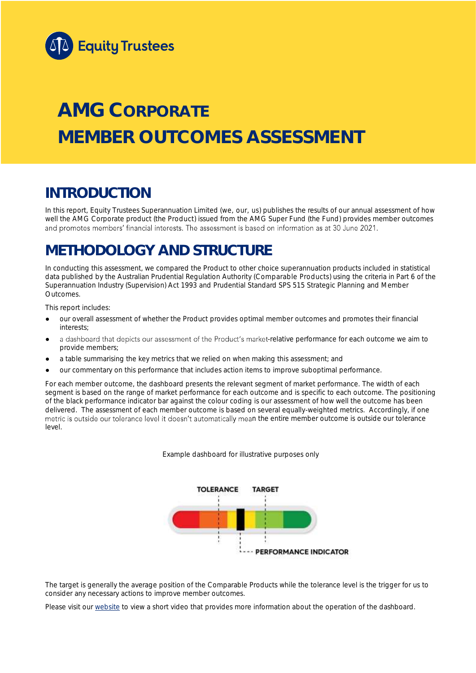

# **AMG CORPORATE MEMBER OUTCOMES ASSESSMENT**

## **INTRODUCTION**

In this report, Equity Trustees Superannuation Limited (we, our, us) publishes the results of our annual assessment of how well the AMG Corporate product (the Product) issued from the AMG Super Fund (the Fund) provides member outcomes and promotes members' financial interests. The assessment is based on information as at 30 June 2021.

## **METHODOLOGY AND STRUCTURE**

In conducting this assessment, we compared the Product to other choice superannuation products included in statistical data published by the Australian Prudential Regulation Authority (Comparable Products) using the criteria in Part 6 of the *Superannuation Industry (Supervision) Act 1993* and Prudential Standard SPS 515 *Strategic Planning and Member Outcomes*.

This report includes:

- our overall assessment of whether the Product provides optimal member outcomes and promotes their financial interests;
- a dashboard that depicts our assessment of the Product's market-relative performance for each outcome we aim to provide members;
- a table summarising the key metrics that we relied on when making this assessment; and
- our commentary on this performance that includes action items to improve suboptimal performance.

For each member outcome, the dashboard presents the relevant segment of market performance. The width of each segment is based on the range of market performance for each outcome and is specific to each outcome. The positioning of the black performance indicator bar against the colour coding is our assessment of how well the outcome has been delivered. The assessment of each member outcome is based on several equally-weighted metrics. Accordingly, if one metric is outside our tolerance level it doesn't automatically mean the entire member outcome is outside our tolerance level.

*Example dashboard for illustrative purposes only*



The target is generally the average position of the Comparable Products while the tolerance level is the trigger for us to consider any necessary actions to improve member outcomes.

Please visit our [website](https://www.eqt.com.au/superannuation) to view a short video that provides more information about the operation of the dashboard.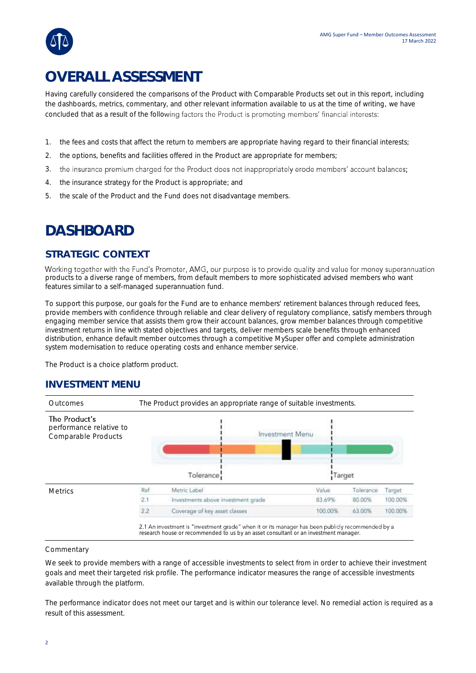## **OVERALL ASSESSMENT**

Having carefully considered the comparisons of the Product with Comparable Products set out in this report, including the dashboards, metrics, commentary, and other relevant information available to us at the time of writing, we have concluded that as a result of the following factors the Product is promoting members' financial interests:

- 1. the fees and costs that affect the return to members are appropriate having regard to their financial interests;
- 2. the options, benefits and facilities offered in the Product are appropriate for members;
- 3. the insurance premium charged for the Product does not inappropriately erode members' account balances;
- 4. the insurance strategy for the Product is appropriate; and
- 5. the scale of the Product and the Fund does not disadvantage members.

## **DASHBOARD**

### **STRATEGIC CONTEXT**

Working together with the Fund's Promoter, AMG, our purpose is to provide quality and value for money superannuation products to a diverse range of members, from default members to more sophisticated advised members who want features similar to a self-managed superannuation fund.

To support this purpose, our goals for the Fund are to enhance members' retirement balances through reduced fees, provide members with confidence through reliable and clear delivery of regulatory compliance, satisfy members through engaging member service that assists them grow their account balances, grow member balances through competitive investment returns in line with stated objectives and targets, deliver members scale benefits through enhanced distribution, enhance default member outcomes through a competitive MySuper offer and complete administration system modernisation to reduce operating costs and enhance member service.

The Product is a choice platform product.

### **INVESTMENT MENU**



#### **Commentary**

We seek to provide members with a range of accessible investments to select from in order to achieve their investment goals and meet their targeted risk profile. The performance indicator measures the range of accessible investments available through the platform.

The performance indicator does not meet our target and is within our tolerance level. No remedial action is required as a result of this assessment.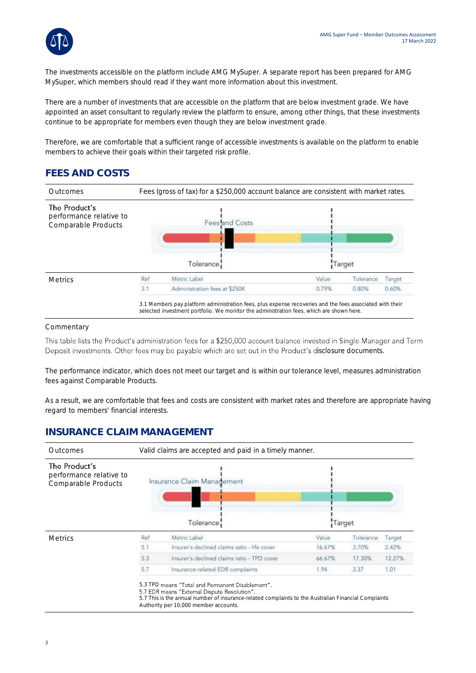

The investments accessible on the platform include AMG MySuper. A separate report has been prepared for AMG MySuper, which members should read if they want more information about this investment.

There are a number of investments that are accessible on the platform that are below investment grade. We have appointed an asset consultant to regularly review the platform to ensure, among other things, that these investments continue to be appropriate for members even though they are below investment grade.

Therefore, we are comfortable that a sufficient range of accessible investments is available on the platform to enable members to achieve their goals within their targeted risk profile.

## **FEES AND COSTS**



#### **Commentary**

This table lists the Product's administration fees for a \$250,000 account balance invested in Single Manager and Term Deposit investments. Other fees may be payable which are set out in the Product's disclosure documents.

The performance indicator, which does not meet our target and is within our tolerance level, measures administration fees against Comparable Products.

As a result, we are comfortable that fees and costs are consistent with market rates and therefore are appropriate having regard to members' financial interests.

### **INSURANCE CLAIM MANAGEMENT**

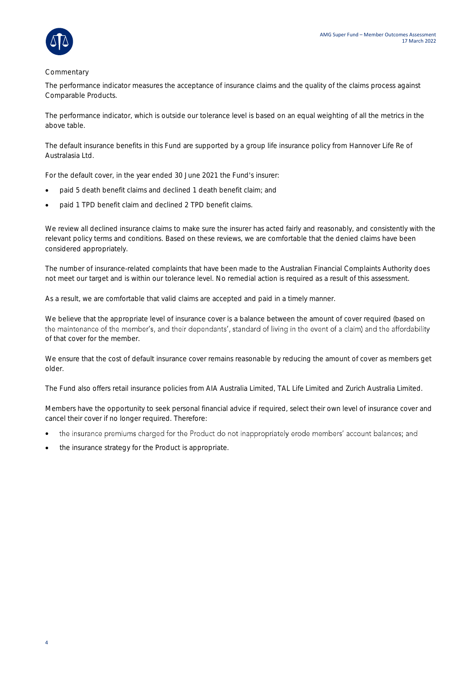

#### Commentary

The performance indicator measures the acceptance of insurance claims and the quality of the claims process against Comparable Products.

The performance indicator, which is outside our tolerance level is based on an equal weighting of all the metrics in the above table.

The default insurance benefits in this Fund are supported by a group life insurance policy from Hannover Life Re of Australasia Ltd.

For the default cover, in the year ended 30 June 2021 the Fund's insurer:

- paid 5 death benefit claims and declined 1 death benefit claim; and
- paid 1 TPD benefit claim and declined 2 TPD benefit claims.

We review all declined insurance claims to make sure the insurer has acted fairly and reasonably, and consistently with the relevant policy terms and conditions. Based on these reviews, we are comfortable that the denied claims have been considered appropriately.

The number of insurance-related complaints that have been made to the Australian Financial Complaints Authority does not meet our target and is within our tolerance level. No remedial action is required as a result of this assessment.

As a result, we are comfortable that valid claims are accepted and paid in a timely manner.

We believe that the appropriate level of insurance cover is a balance between the amount of cover required (based on the maintenance of the member's, and their dependants', standard of living in the event of a claim) and the affordability of that cover for the member.

We ensure that the cost of default insurance cover remains reasonable by reducing the amount of cover as members get older.

The Fund also offers retail insurance policies from AIA Australia Limited, TAL Life Limited and Zurich Australia Limited.

Members have the opportunity to seek personal financial advice if required, select their own level of insurance cover and cancel their cover if no longer required. Therefore:

- the insurance premiums charged for the Product do not inappropriately erode members' account balances; and •
- the insurance strategy for the Product is appropriate.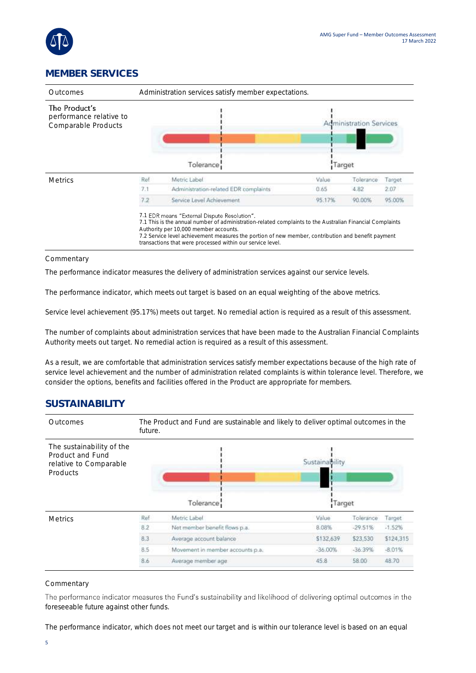

## **MEMBER SERVICES**

| Outcomes                                                        | Administration services satisfy member expectations.                                                                                                                                                                                                                                                                                                                   |                                       |                                          |           |        |
|-----------------------------------------------------------------|------------------------------------------------------------------------------------------------------------------------------------------------------------------------------------------------------------------------------------------------------------------------------------------------------------------------------------------------------------------------|---------------------------------------|------------------------------------------|-----------|--------|
| The Product's<br>performance relative to<br>Comparable Products | Tolerance                                                                                                                                                                                                                                                                                                                                                              |                                       | <b>Administration Services</b><br>Target |           |        |
|                                                                 |                                                                                                                                                                                                                                                                                                                                                                        |                                       |                                          |           |        |
| <b>Metrics</b>                                                  | Ref                                                                                                                                                                                                                                                                                                                                                                    | Metric Label                          | Value                                    | Tolerance | Target |
|                                                                 | 7.1                                                                                                                                                                                                                                                                                                                                                                    | Administration-related EDR complaints | 0.65                                     | 4.82      | 2.07   |
|                                                                 | 7.2                                                                                                                                                                                                                                                                                                                                                                    | Service Level Achievement.            | 95.17%                                   | 90.00%    | 95.00% |
|                                                                 | 7.1 EDR means "External Dispute Resolution".<br>7.1 This is the annual number of administration-related complaints to the Australian Financial Complaints<br>Authority per 10,000 member accounts.<br>7.2 Service level achievement measures the portion of new member, contribution and benefit payment<br>transactions that were processed within our service level. |                                       |                                          |           |        |

#### Commentary

The performance indicator measures the delivery of administration services against our service levels.

The performance indicator, which meets out target is based on an equal weighting of the above metrics.

Service level achievement (95.17%) meets out target. No remedial action is required as a result of this assessment.

The number of complaints about administration services that have been made to the Australian Financial Complaints Authority meets out target. No remedial action is required as a result of this assessment.

As a result, we are comfortable that administration services satisfy member expectations because of the high rate of service level achievement and the number of administration related complaints is within tolerance level. Therefore, we consider the options, benefits and facilities offered in the Product are appropriate for members.

### **SUSTAINABILITY**



#### Commentary

The performance indicator measures the Fund's sustainability and likelihood of delivering optimal outcomes in the foreseeable future against other funds.

The performance indicator, which does not meet our target and is within our tolerance level is based on an equal